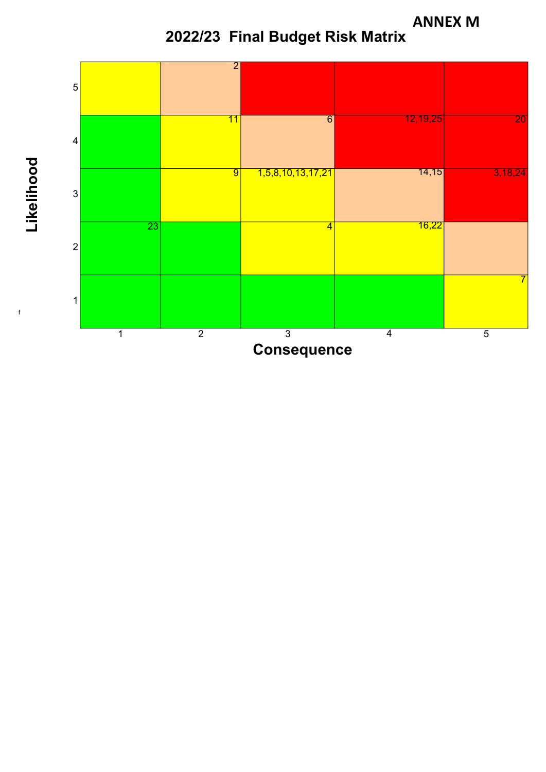**ANNEX M**





f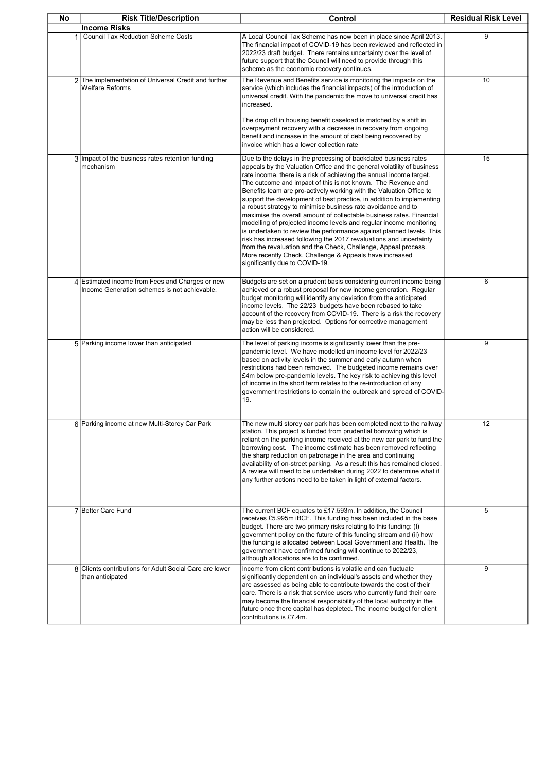| No | <b>Risk Title/Description</b>                                                                   | Control                                                                                                                                                                                                                                                                                                                                                                                                                                                                                                                                                                                                                                                                                                                                                                                                                                                                                                                                                     | <b>Residual Risk Level</b> |
|----|-------------------------------------------------------------------------------------------------|-------------------------------------------------------------------------------------------------------------------------------------------------------------------------------------------------------------------------------------------------------------------------------------------------------------------------------------------------------------------------------------------------------------------------------------------------------------------------------------------------------------------------------------------------------------------------------------------------------------------------------------------------------------------------------------------------------------------------------------------------------------------------------------------------------------------------------------------------------------------------------------------------------------------------------------------------------------|----------------------------|
|    | <b>Income Risks</b>                                                                             |                                                                                                                                                                                                                                                                                                                                                                                                                                                                                                                                                                                                                                                                                                                                                                                                                                                                                                                                                             |                            |
| 1  | <b>Council Tax Reduction Scheme Costs</b>                                                       | A Local Council Tax Scheme has now been in place since April 2013.<br>The financial impact of COVID-19 has been reviewed and reflected in<br>2022/23 draft budget. There remains uncertainty over the level of<br>future support that the Council will need to provide through this<br>scheme as the economic recovery continues.                                                                                                                                                                                                                                                                                                                                                                                                                                                                                                                                                                                                                           | 9                          |
|    | 2 The implementation of Universal Credit and further<br><b>Welfare Reforms</b>                  | The Revenue and Benefits service is monitoring the impacts on the<br>service (which includes the financial impacts) of the introduction of<br>universal credit. With the pandemic the move to universal credit has<br>increased.<br>The drop off in housing benefit caseload is matched by a shift in<br>overpayment recovery with a decrease in recovery from ongoing<br>benefit and increase in the amount of debt being recovered by<br>invoice which has a lower collection rate                                                                                                                                                                                                                                                                                                                                                                                                                                                                        | 10                         |
|    | 3 Impact of the business rates retention funding<br>mechanism                                   | Due to the delays in the processing of backdated business rates<br>appeals by the Valuation Office and the general volatility of business<br>rate income, there is a risk of achieving the annual income target.<br>The outcome and impact of this is not known. The Revenue and<br>Benefits team are pro-actively working with the Valuation Office to<br>support the development of best practice, in addition to implementing<br>a robust strategy to minimise business rate avoidance and to<br>maximise the overall amount of collectable business rates. Financial<br>modelling of projected income levels and regular income monitoring<br>is undertaken to review the performance against planned levels. This<br>risk has increased following the 2017 revaluations and uncertainty<br>from the revaluation and the Check, Challenge, Appeal process.<br>More recently Check, Challenge & Appeals have increased<br>significantly due to COVID-19. | 15                         |
|    | 4 Estimated income from Fees and Charges or new<br>Income Generation schemes is not achievable. | Budgets are set on a prudent basis considering current income being<br>achieved or a robust proposal for new income generation. Regular<br>budget monitoring will identify any deviation from the anticipated<br>income levels. The 22/23 budgets have been rebased to take<br>account of the recovery from COVID-19. There is a risk the recovery<br>may be less than projected. Options for corrective management<br>action will be considered.                                                                                                                                                                                                                                                                                                                                                                                                                                                                                                           | 6                          |
|    | 5 Parking income lower than anticipated                                                         | The level of parking income is significantly lower than the pre-<br>pandemic level. We have modelled an income level for 2022/23<br>based on activity levels in the summer and early autumn when<br>restrictions had been removed. The budgeted income remains over<br>£4m below pre-pandemic levels. The key risk to achieving this level<br>of income in the short term relates to the re-introduction of any<br>government restrictions to contain the outbreak and spread of COVID-<br>19.                                                                                                                                                                                                                                                                                                                                                                                                                                                              | 9                          |
|    | 6 Parking income at new Multi-Storey Car Park                                                   | The new multi storey car park has been completed next to the railway<br>station. This project is funded from prudential borrowing which is<br>reliant on the parking income received at the new car park to fund the<br>borrowing cost. The income estimate has been removed reflecting<br>the sharp reduction on patronage in the area and continuing<br>availability of on-street parking. As a result this has remained closed.<br>A review will need to be undertaken during 2022 to determine what if<br>any further actions need to be taken in light of external factors.                                                                                                                                                                                                                                                                                                                                                                            | 12                         |
|    | 7 Better Care Fund                                                                              | The current BCF equates to £17.593m. In addition, the Council<br>receives £5.995m iBCF. This funding has been included in the base<br>budget. There are two primary risks relating to this funding: (I)<br>government policy on the future of this funding stream and (ii) how<br>the funding is allocated between Local Government and Health. The<br>government have confirmed funding will continue to 2022/23,<br>although allocations are to be confirmed.                                                                                                                                                                                                                                                                                                                                                                                                                                                                                             | 5                          |
| 8  | Clients contributions for Adult Social Care are lower<br>than anticipated                       | Income from client contributions is volatile and can fluctuate<br>significantly dependent on an individual's assets and whether they<br>are assessed as being able to contribute towards the cost of their<br>care. There is a risk that service users who currently fund their care<br>may become the financial responsibility of the local authority in the<br>future once there capital has depleted. The income budget for client<br>contributions is £7.4m.                                                                                                                                                                                                                                                                                                                                                                                                                                                                                            | 9                          |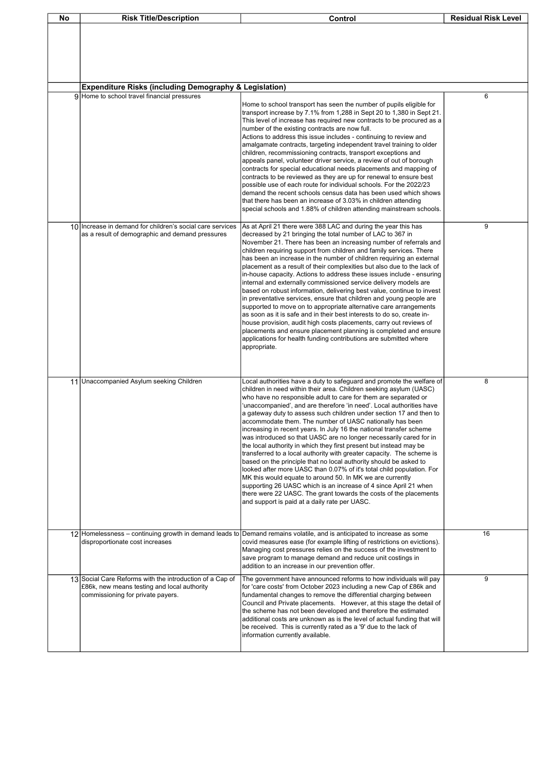| No | <b>Risk Title/Description</b>                                                                                                                | Control                                                                                                                                                                                                                                                                                                                                                                                                                                                                                                                                                                                                                                                                                                                                                                                                                                                                                                                                                                                                                                                                                                                   | <b>Residual Risk Level</b> |
|----|----------------------------------------------------------------------------------------------------------------------------------------------|---------------------------------------------------------------------------------------------------------------------------------------------------------------------------------------------------------------------------------------------------------------------------------------------------------------------------------------------------------------------------------------------------------------------------------------------------------------------------------------------------------------------------------------------------------------------------------------------------------------------------------------------------------------------------------------------------------------------------------------------------------------------------------------------------------------------------------------------------------------------------------------------------------------------------------------------------------------------------------------------------------------------------------------------------------------------------------------------------------------------------|----------------------------|
|    | <b>Expenditure Risks (including Demography &amp; Legislation)</b>                                                                            |                                                                                                                                                                                                                                                                                                                                                                                                                                                                                                                                                                                                                                                                                                                                                                                                                                                                                                                                                                                                                                                                                                                           |                            |
|    | 9 Home to school travel financial pressures                                                                                                  |                                                                                                                                                                                                                                                                                                                                                                                                                                                                                                                                                                                                                                                                                                                                                                                                                                                                                                                                                                                                                                                                                                                           | 6                          |
|    |                                                                                                                                              | Home to school transport has seen the number of pupils eligible for<br>transport increase by 7.1% from 1,288 in Sept 20 to 1,380 in Sept 21.<br>This level of increase has required new contracts to be procured as a<br>number of the existing contracts are now full.<br>Actions to address this issue includes - continuing to review and<br>amalgamate contracts, targeting independent travel training to older<br>children, recommissioning contracts, transport exceptions and<br>appeals panel, volunteer driver service, a review of out of borough<br>contracts for special educational needs placements and mapping of<br>contracts to be reviewed as they are up for renewal to ensure best<br>possible use of each route for individual schools. For the 2022/23<br>demand the recent schools census data has been used which shows<br>that there has been an increase of 3.03% in children attending<br>special schools and 1.88% of children attending mainstream schools.                                                                                                                                 |                            |
| 10 | Increase in demand for children's social care services<br>as a result of demographic and demand pressures                                    | As at April 21 there were 388 LAC and during the year this has<br>decreased by 21 bringing the total number of LAC to 367 in<br>November 21. There has been an increasing number of referrals and<br>children requiring support from children and family services. There<br>has been an increase in the number of children requiring an external<br>placement as a result of their complexities but also due to the lack of<br>in-house capacity. Actions to address these issues include - ensuring<br>internal and externally commissioned service delivery models are<br>based on robust information, delivering best value, continue to invest<br>in preventative services, ensure that children and young people are<br>supported to move on to appropriate alternative care arrangements<br>as soon as it is safe and in their best interests to do so, create in-<br>house provision, audit high costs placements, carry out reviews of<br>placements and ensure placement planning is completed and ensure<br>applications for health funding contributions are submitted where<br>appropriate.                   | 9                          |
|    | 11 Unaccompanied Asylum seeking Children                                                                                                     | Local authorities have a duty to safeguard and promote the welfare of<br>children in need within their area. Children seeking asylum (UASC)<br>who have no responsible adult to care for them are separated or<br>unaccompanied', and are therefore 'in need'. Local authorities have<br>a gateway duty to assess such children under section 17 and then to<br>accommodate them. The number of UASC nationally has been<br>increasing in recent years. In July 16 the national transfer scheme<br>was introduced so that UASC are no longer necessarily cared for in<br>the local authority in which they first present but instead may be<br>transferred to a local authority with greater capacity. The scheme is<br>based on the principle that no local authority should be asked to<br>looked after more UASC than 0.07% of it's total child population. For<br>MK this would equate to around 50. In MK we are currently<br>supporting 26 UASC which is an increase of 4 since April 21 when<br>there were 22 UASC. The grant towards the costs of the placements<br>and support is paid at a daily rate per UASC. | 8                          |
|    | 12 Homelessness – continuing growth in demand leads to<br>disproportionate cost increases                                                    | Demand remains volatile, and is anticipated to increase as some<br>covid measures ease (for example lifting of restrictions on evictions).<br>Managing cost pressures relies on the success of the investment to<br>save program to manage demand and reduce unit costings in<br>addition to an increase in our prevention offer.                                                                                                                                                                                                                                                                                                                                                                                                                                                                                                                                                                                                                                                                                                                                                                                         | 16                         |
|    | 13 Social Care Reforms with the introduction of a Cap of<br>£86k, new means testing and local authority<br>commissioning for private payers. | The government have announced reforms to how individuals will pay<br>for 'care costs' from October 2023 including a new Cap of £86k and<br>fundamental changes to remove the differential charging between<br>Council and Private placements. However, at this stage the detail of<br>the scheme has not been developed and therefore the estimated<br>additional costs are unknown as is the level of actual funding that will<br>be received. This is currently rated as a '9' due to the lack of<br>information currently available.                                                                                                                                                                                                                                                                                                                                                                                                                                                                                                                                                                                   | 9                          |